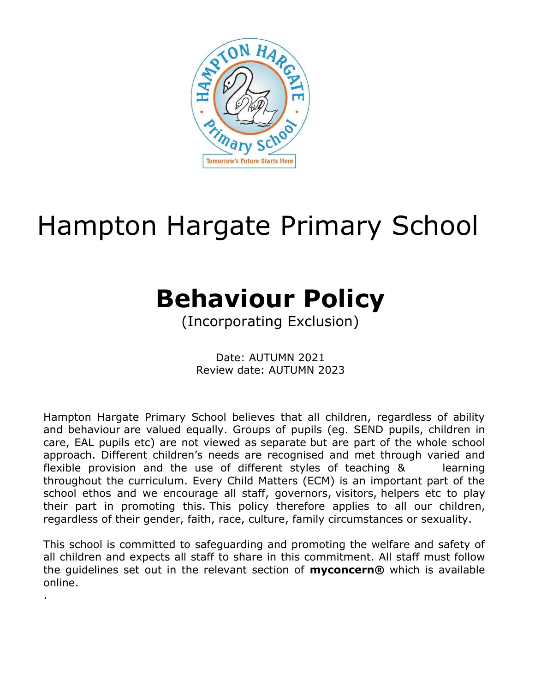

# Hampton Hargate Primary School

# **Behaviour Policy**

(Incorporating Exclusion)

Date: AUTUMN 2021 Review date: AUTUMN 2023

Hampton Hargate Primary School believes that all children, regardless of ability and behaviour are valued equally. Groups of pupils (eg. SEND pupils, children in care, EAL pupils etc) are not viewed as separate but are part of the whole school approach. Different children's needs are recognised and met through varied and flexible provision and the use of different styles of teaching & learning throughout the curriculum. Every Child Matters (ECM) is an important part of the school ethos and we encourage all staff, governors, visitors, helpers etc to play their part in promoting this. This policy therefore applies to all our children, regardless of their gender, faith, race, culture, family circumstances or sexuality.

This school is committed to safeguarding and promoting the welfare and safety of all children and expects all staff to share in this commitment. All staff must follow the guidelines set out in the relevant section of **myconcern®** which is available online.

.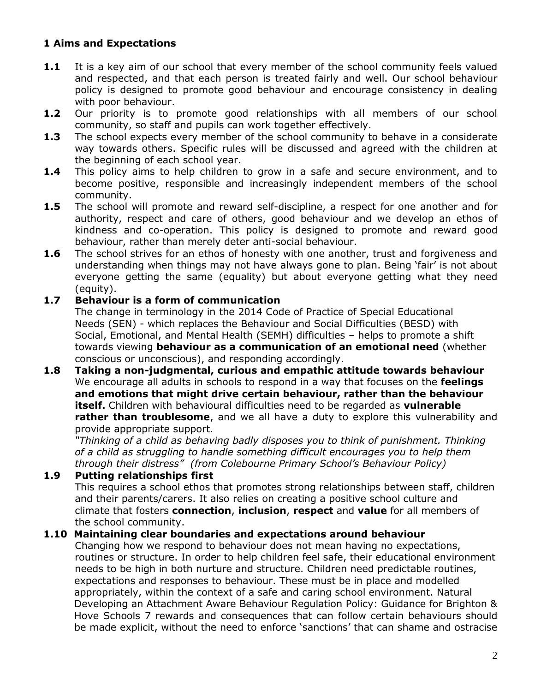# **1 Aims and Expectations**

- **1.1** It is a key aim of our school that every member of the school community feels valued and respected, and that each person is treated fairly and well. Our school behaviour policy is designed to promote good behaviour and encourage consistency in dealing with poor behaviour.
- **1.2** Our priority is to promote good relationships with all members of our school community, so staff and pupils can work together effectively.
- **1.3** The school expects every member of the school community to behave in a considerate way towards others. Specific rules will be discussed and agreed with the children at the beginning of each school year.
- **1.4** This policy aims to help children to grow in a safe and secure environment, and to become positive, responsible and increasingly independent members of the school community.
- **1.5** The school will promote and reward self-discipline, a respect for one another and for authority, respect and care of others, good behaviour and we develop an ethos of kindness and co-operation. This policy is designed to promote and reward good behaviour, rather than merely deter anti-social behaviour.
- **1.6** The school strives for an ethos of honesty with one another, trust and forgiveness and understanding when things may not have always gone to plan. Being 'fair' is not about everyone getting the same (equality) but about everyone getting what they need (equity).

#### **1.7 Behaviour is a form of communication**

The change in terminology in the 2014 Code of Practice of Special Educational Needs (SEN) - which replaces the Behaviour and Social Difficulties (BESD) with Social, Emotional, and Mental Health (SEMH) difficulties – helps to promote a shift towards viewing **behaviour as a communication of an emotional need** (whether conscious or unconscious), and responding accordingly.

**1.8 Taking a non-judgmental, curious and empathic attitude towards behaviour** We encourage all adults in schools to respond in a way that focuses on the **feelings and emotions that might drive certain behaviour, rather than the behaviour itself.** Children with behavioural difficulties need to be regarded as **vulnerable rather than troublesome**, and we all have a duty to explore this vulnerability and provide appropriate support.

*"Thinking of a child as behaving badly disposes you to think of punishment. Thinking of a child as struggling to handle something difficult encourages you to help them through their distress" (from Colebourne Primary School's Behaviour Policy)*

#### **1.9 Putting relationships first**

This requires a school ethos that promotes strong relationships between staff, children and their parents/carers. It also relies on creating a positive school culture and climate that fosters **connection**, **inclusion**, **respect** and **value** for all members of the school community.

#### **1.10 Maintaining clear boundaries and expectations around behaviour**

Changing how we respond to behaviour does not mean having no expectations, routines or structure. In order to help children feel safe, their educational environment needs to be high in both nurture and structure. Children need predictable routines, expectations and responses to behaviour. These must be in place and modelled appropriately, within the context of a safe and caring school environment. Natural Developing an Attachment Aware Behaviour Regulation Policy: Guidance for Brighton & Hove Schools 7 rewards and consequences that can follow certain behaviours should be made explicit, without the need to enforce 'sanctions' that can shame and ostracise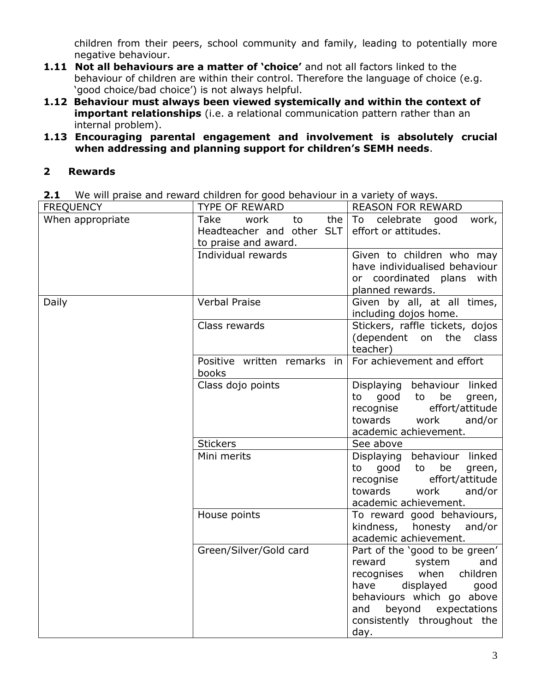children from their peers, school community and family, leading to potentially more negative behaviour.

- 1.11 **Not all behaviours are a matter of 'choice'** and not all factors linked to the behaviour of children are within their control. Therefore the language of choice (e.g. 'good choice/bad choice') is not always helpful.
- **1.12 Behaviour must always been viewed systemically and within the context of important relationships** (i.e. a relational communication pattern rather than an internal problem).
- **1.13 Encouraging parental engagement and involvement is absolutely crucial when addressing and planning support for children's SEMH needs**.

#### **2 Rewards**

**2.1** We will praise and reward children for good behaviour in a variety of ways.

| <b>FREQUENCY</b> | <b>TYPE OF REWARD</b>                                                          | <b>REASON FOR REWARD</b>                                                                                                                                                                                                      |  |  |
|------------------|--------------------------------------------------------------------------------|-------------------------------------------------------------------------------------------------------------------------------------------------------------------------------------------------------------------------------|--|--|
| When appropriate | Take<br>work<br>the<br>to<br>Headteacher and other SLT<br>to praise and award. | To<br>celebrate<br>good<br>work,<br>effort or attitudes.                                                                                                                                                                      |  |  |
|                  | Individual rewards                                                             | Given to children who may<br>have individualised behaviour<br>or coordinated plans<br>with<br>planned rewards.                                                                                                                |  |  |
| Daily            | <b>Verbal Praise</b>                                                           | Given by all, at all times,<br>including dojos home.                                                                                                                                                                          |  |  |
|                  | Class rewards                                                                  | Stickers, raffle tickets, dojos<br>(dependent on<br>the<br>class<br>teacher)                                                                                                                                                  |  |  |
|                  | Positive written remarks in<br>books                                           | For achievement and effort                                                                                                                                                                                                    |  |  |
|                  | Class dojo points                                                              | Displaying behaviour linked<br>good<br>be<br>to<br>to<br>green,<br>recognise<br>effort/attitude<br>towards<br>work<br>and/or<br>academic achievement.                                                                         |  |  |
|                  | <b>Stickers</b>                                                                | See above                                                                                                                                                                                                                     |  |  |
|                  | Mini merits                                                                    | behaviour linked<br>Displaying<br>good<br>be<br>to<br>to<br>green,<br>recognise<br>effort/attitude<br>towards<br>work<br>and/or<br>academic achievement.                                                                      |  |  |
|                  | House points                                                                   | To reward good behaviours,<br>kindness,<br>honesty<br>and/or<br>academic achievement.                                                                                                                                         |  |  |
|                  | Green/Silver/Gold card                                                         | Part of the 'good to be green'<br>reward<br>system<br>and<br>when<br>children<br>recognises<br>displayed<br>have<br>good<br>behaviours which go above<br>beyond<br>expectations<br>and<br>consistently throughout the<br>day. |  |  |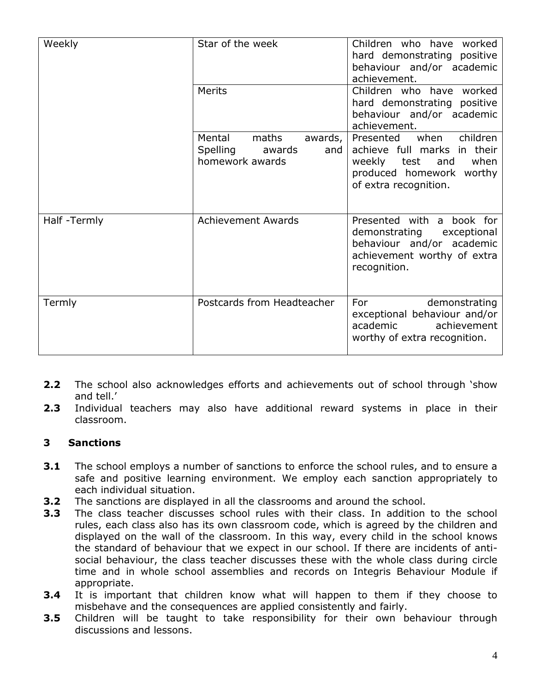| Weekly      | Star of the week                                                           | Children who have worked<br>hard demonstrating positive<br>behaviour and/or academic<br>achievement.                                            |  |
|-------------|----------------------------------------------------------------------------|-------------------------------------------------------------------------------------------------------------------------------------------------|--|
|             | Merits                                                                     | Children who have worked<br>hard demonstrating positive<br>behaviour and/or academic<br>achievement.                                            |  |
|             | Mental<br>maths<br>awards,<br>Spelling<br>awards<br>and<br>homework awards | Presented<br>when<br>children<br>achieve full marks in their<br>when<br>weekly test<br>and<br>produced homework worthy<br>of extra recognition. |  |
| Half-Termly | <b>Achievement Awards</b>                                                  | Presented with a book for<br>demonstrating<br>exceptional<br>behaviour and/or academic<br>achievement worthy of extra<br>recognition.           |  |
| Termly      | Postcards from Headteacher                                                 | For<br>demonstrating<br>exceptional behaviour and/or<br>academic<br>achievement<br>worthy of extra recognition.                                 |  |

- **2.2** The school also acknowledges efforts and achievements out of school through 'show and tell.'
- **2.3** Individual teachers may also have additional reward systems in place in their classroom.

#### **3 Sanctions**

- **3.1** The school employs a number of sanctions to enforce the school rules, and to ensure a safe and positive learning environment. We employ each sanction appropriately to each individual situation.
- **3.2** The sanctions are displayed in all the classrooms and around the school.
- **3.3** The class teacher discusses school rules with their class. In addition to the school rules, each class also has its own classroom code, which is agreed by the children and displayed on the wall of the classroom. In this way, every child in the school knows the standard of behaviour that we expect in our school. If there are incidents of antisocial behaviour, the class teacher discusses these with the whole class during circle time and in whole school assemblies and records on Integris Behaviour Module if appropriate.
- **3.4** It is important that children know what will happen to them if they choose to misbehave and the consequences are applied consistently and fairly.
- **3.5** Children will be taught to take responsibility for their own behaviour through discussions and lessons.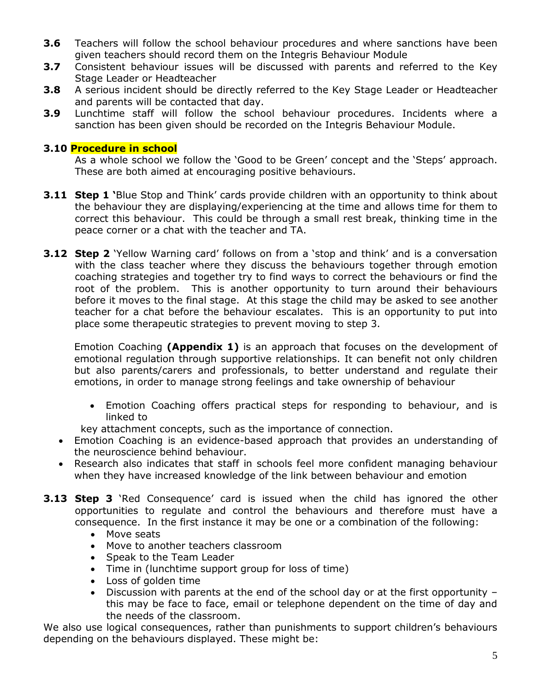- **3.6** Teachers will follow the school behaviour procedures and where sanctions have been given teachers should record them on the Integris Behaviour Module
- **3.7** Consistent behaviour issues will be discussed with parents and referred to the Key Stage Leader or Headteacher
- **3.8** A serious incident should be directly referred to the Key Stage Leader or Headteacher and parents will be contacted that day.
- **3.9** Lunchtime staff will follow the school behaviour procedures. Incidents where a sanction has been given should be recorded on the Integris Behaviour Module.

#### **3.10 Procedure in school**

As a whole school we follow the 'Good to be Green' concept and the 'Steps' approach. These are both aimed at encouraging positive behaviours.

- **3.11 Step 1 '**Blue Stop and Think' cards provide children with an opportunity to think about the behaviour they are displaying/experiencing at the time and allows time for them to correct this behaviour. This could be through a small rest break, thinking time in the peace corner or a chat with the teacher and TA.
- **3.12 Step 2** 'Yellow Warning card' follows on from a 'stop and think' and is a conversation with the class teacher where they discuss the behaviours together through emotion coaching strategies and together try to find ways to correct the behaviours or find the root of the problem. This is another opportunity to turn around their behaviours before it moves to the final stage. At this stage the child may be asked to see another teacher for a chat before the behaviour escalates. This is an opportunity to put into place some therapeutic strategies to prevent moving to step 3.

Emotion Coaching **(Appendix 1)** is an approach that focuses on the development of emotional regulation through supportive relationships. It can benefit not only children but also parents/carers and professionals, to better understand and regulate their emotions, in order to manage strong feelings and take ownership of behaviour

- Emotion Coaching offers practical steps for responding to behaviour, and is linked to
- key attachment concepts, such as the importance of connection.
- Emotion Coaching is an evidence-based approach that provides an understanding of the neuroscience behind behaviour.
- Research also indicates that staff in schools feel more confident managing behaviour when they have increased knowledge of the link between behaviour and emotion
- **3.13 Step 3** `Red Consequence' card is issued when the child has ignored the other opportunities to regulate and control the behaviours and therefore must have a consequence. In the first instance it may be one or a combination of the following:
	- Move seats
	- Move to another teachers classroom
	- Speak to the Team Leader
	- Time in (lunchtime support group for loss of time)
	- Loss of golden time
	- Discussion with parents at the end of the school day or at the first opportunity this may be face to face, email or telephone dependent on the time of day and the needs of the classroom.

We also use logical consequences, rather than punishments to support children's behaviours depending on the behaviours displayed. These might be: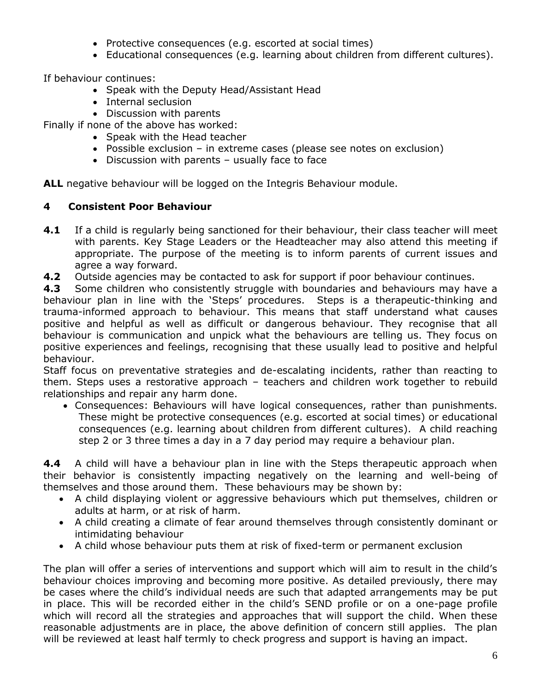- Protective consequences (e.g. escorted at social times)
- Educational consequences (e.g. learning about children from different cultures).

If behaviour continues:

- Speak with the Deputy Head/Assistant Head
- Internal seclusion
- Discussion with parents

Finally if none of the above has worked:

- Speak with the Head teacher
- Possible exclusion in extreme cases (please see notes on exclusion)
- Discussion with parents usually face to face

ALL negative behaviour will be logged on the Integris Behaviour module.

#### **4 Consistent Poor Behaviour**

- **4.1** If a child is regularly being sanctioned for their behaviour, their class teacher will meet with parents. Key Stage Leaders or the Headteacher may also attend this meeting if appropriate. The purpose of the meeting is to inform parents of current issues and agree a way forward.
- **4.2** Outside agencies may be contacted to ask for support if poor behaviour continues.

**4.3** Some children who consistently struggle with boundaries and behaviours may have a behaviour plan in line with the 'Steps' procedures. Steps is a therapeutic-thinking and trauma-informed approach to behaviour. This means that staff understand what causes positive and helpful as well as difficult or dangerous behaviour. They recognise that all behaviour is communication and unpick what the behaviours are telling us. They focus on positive experiences and feelings, recognising that these usually lead to positive and helpful behaviour.

Staff focus on preventative strategies and de-escalating incidents, rather than reacting to them. Steps uses a restorative approach – teachers and children work together to rebuild relationships and repair any harm done.

• Consequences: Behaviours will have logical consequences, rather than punishments. These might be protective consequences (e.g. escorted at social times) or educational consequences (e.g. learning about children from different cultures). A child reaching step 2 or 3 three times a day in a 7 day period may require a behaviour plan.

**4.4** A child will have a behaviour plan in line with the Steps therapeutic approach when their behavior is consistently impacting negatively on the learning and well-being of themselves and those around them. These behaviours may be shown by:

- A child displaying violent or aggressive behaviours which put themselves, children or adults at harm, or at risk of harm.
- A child creating a climate of fear around themselves through consistently dominant or intimidating behaviour
- A child whose behaviour puts them at risk of fixed-term or permanent exclusion

The plan will offer a series of interventions and support which will aim to result in the child's behaviour choices improving and becoming more positive. As detailed previously, there may be cases where the child's individual needs are such that adapted arrangements may be put in place. This will be recorded either in the child's SEND profile or on a one-page profile which will record all the strategies and approaches that will support the child. When these reasonable adjustments are in place, the above definition of concern still applies. The plan will be reviewed at least half termly to check progress and support is having an impact.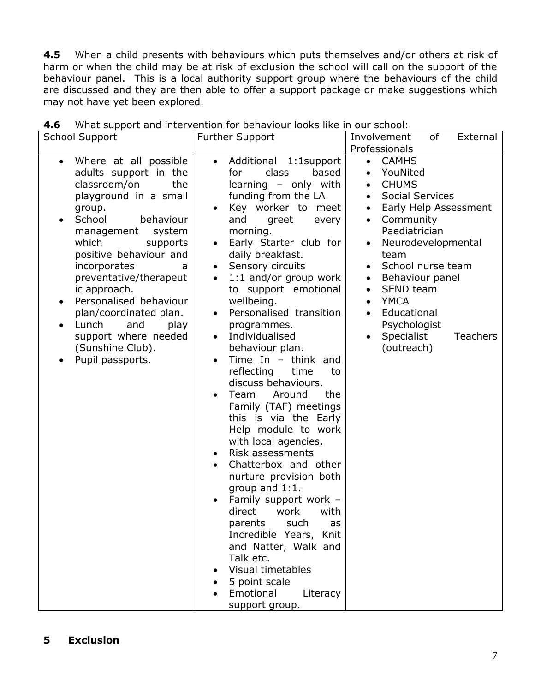**4.5** When a child presents with behaviours which puts themselves and/or others at risk of harm or when the child may be at risk of exclusion the school will call on the support of the behaviour panel. This is a local authority support group where the behaviours of the child are discussed and they are then able to offer a support package or make suggestions which may not have yet been explored.

| <b>School Support</b>                                                                                                                                                                                                                                                                                                                                                                                                                                         | <b>Further Support</b>                                                                                                                                                                                                                                                                                                                                                                                                                                                                                                                                                                                                                                                                                                                                                                                                                                                                                                                                        | Involvement<br>of<br>External<br>Professionals                                                                                                                                                                                                                                                                                                                                                                                                           |
|---------------------------------------------------------------------------------------------------------------------------------------------------------------------------------------------------------------------------------------------------------------------------------------------------------------------------------------------------------------------------------------------------------------------------------------------------------------|---------------------------------------------------------------------------------------------------------------------------------------------------------------------------------------------------------------------------------------------------------------------------------------------------------------------------------------------------------------------------------------------------------------------------------------------------------------------------------------------------------------------------------------------------------------------------------------------------------------------------------------------------------------------------------------------------------------------------------------------------------------------------------------------------------------------------------------------------------------------------------------------------------------------------------------------------------------|----------------------------------------------------------------------------------------------------------------------------------------------------------------------------------------------------------------------------------------------------------------------------------------------------------------------------------------------------------------------------------------------------------------------------------------------------------|
| Where at all possible<br>$\bullet$<br>adults support in the<br>classroom/on<br>the<br>playground in a small<br>group.<br>School<br>behaviour<br>$\bullet$<br>management<br>system<br>which<br>supports<br>positive behaviour and<br>incorporates<br>a<br>preventative/therapeut<br>ic approach.<br>Personalised behaviour<br>٠<br>plan/coordinated plan.<br>Lunch<br>and<br>play<br>$\bullet$<br>support where needed<br>(Sunshine Club).<br>Pupil passports. | Additional 1:1support<br>$\bullet$<br>class<br>based<br>for<br>learning - only with<br>funding from the LA<br>Key worker to meet<br>and<br>greet<br>every<br>morning.<br>Early Starter club for<br>daily breakfast.<br>Sensory circuits<br>$\bullet$<br>1:1 and/or group work<br>to support emotional<br>wellbeing.<br>Personalised transition<br>$\bullet$<br>programmes.<br>Individualised<br>$\bullet$<br>behaviour plan.<br>Time In $-$ think and<br>reflecting<br>time<br>to<br>discuss behaviours.<br>Team<br>Around<br>the<br>Family (TAF) meetings<br>this is via the Early<br>Help module to work<br>with local agencies.<br>Risk assessments<br>Chatterbox and other<br>nurture provision both<br>group and 1:1.<br>Family support work -<br>direct<br>work<br>with<br>such<br>parents<br>as<br>Incredible Years, Knit<br>and Natter, Walk and<br>Talk etc.<br><b>Visual timetables</b><br>5 point scale<br>Emotional<br>Literacy<br>support group. | <b>CAMHS</b><br>$\bullet$<br>YouNited<br>$\bullet$<br><b>CHUMS</b><br>$\bullet$<br><b>Social Services</b><br>$\bullet$<br>Early Help Assessment<br>$\bullet$<br>Community<br>$\bullet$<br>Paediatrician<br>Neurodevelopmental<br>team<br>School nurse team<br>$\bullet$<br>Behaviour panel<br>$\bullet$<br>SEND team<br>$\bullet$<br><b>YMCA</b><br>$\bullet$<br>Educational<br>$\bullet$<br>Psychologist<br>Specialist<br><b>Teachers</b><br>(outreach) |

| 4.6 What support and intervention for behaviour looks like in our school: |  |  |  |  |  |  |
|---------------------------------------------------------------------------|--|--|--|--|--|--|
|---------------------------------------------------------------------------|--|--|--|--|--|--|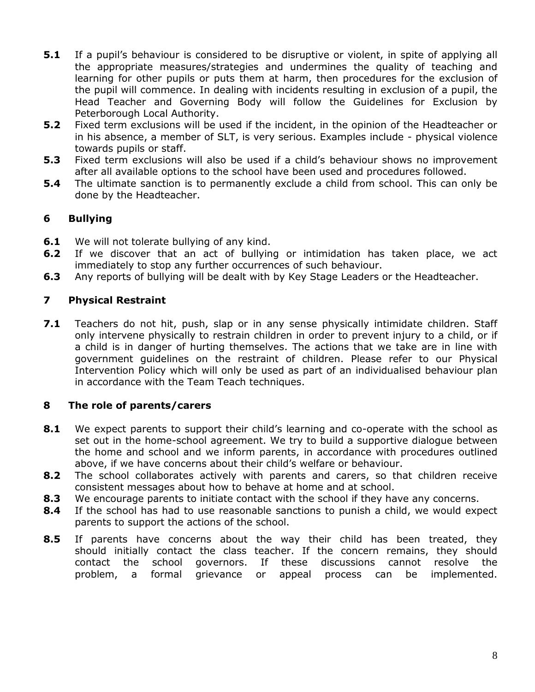- **5.1** If a pupil's behaviour is considered to be disruptive or violent, in spite of applying all the appropriate measures/strategies and undermines the quality of teaching and learning for other pupils or puts them at harm, then procedures for the exclusion of the pupil will commence. In dealing with incidents resulting in exclusion of a pupil, the Head Teacher and Governing Body will follow the Guidelines for Exclusion by Peterborough Local Authority.
- **5.2** Fixed term exclusions will be used if the incident, in the opinion of the Headteacher or in his absence, a member of SLT, is very serious. Examples include - physical violence towards pupils or staff.
- **5.3** Fixed term exclusions will also be used if a child's behaviour shows no improvement after all available options to the school have been used and procedures followed.
- **5.4** The ultimate sanction is to permanently exclude a child from school. This can only be done by the Headteacher.

# **6 Bullying**

- **6.1** We will not tolerate bullying of any kind.
- **6.2** If we discover that an act of bullying or intimidation has taken place, we act immediately to stop any further occurrences of such behaviour.
- **6.3** Any reports of bullying will be dealt with by Key Stage Leaders or the Headteacher.

#### **7 Physical Restraint**

**7.1** Teachers do not hit, push, slap or in any sense physically intimidate children. Staff only intervene physically to restrain children in order to prevent injury to a child, or if a child is in danger of hurting themselves. The actions that we take are in line with government guidelines on the restraint of children. Please refer to our Physical Intervention Policy which will only be used as part of an individualised behaviour plan in accordance with the Team Teach techniques.

#### **8 The role of parents/carers**

- **8.1** We expect parents to support their child's learning and co-operate with the school as set out in the home-school agreement. We try to build a supportive dialogue between the home and school and we inform parents, in accordance with procedures outlined above, if we have concerns about their child's welfare or behaviour.
- **8.2** The school collaborates actively with parents and carers, so that children receive consistent messages about how to behave at home and at school.
- **8.3** We encourage parents to initiate contact with the school if they have any concerns.
- **8.4** If the school has had to use reasonable sanctions to punish a child, we would expect parents to support the actions of the school.
- **8.5** If parents have concerns about the way their child has been treated, they should initially contact the class teacher. If the concern remains, they should contact the school governors. If these discussions cannot resolve the problem, a formal grievance or appeal process can be implemented.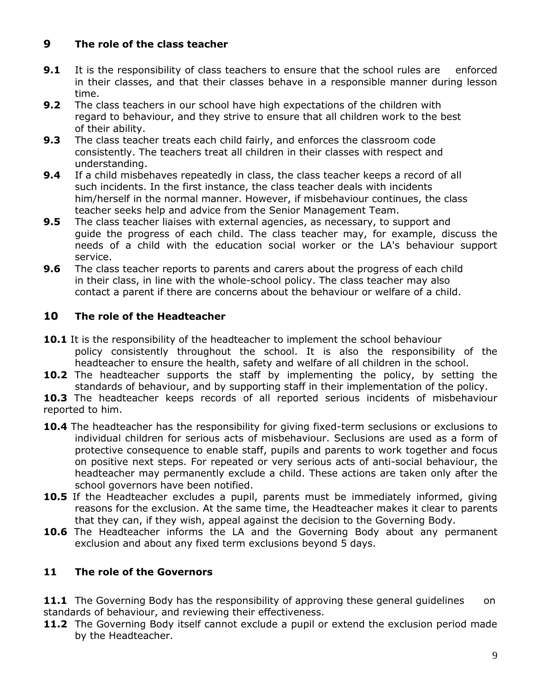# **9 The role of the class teacher**

- **9.1** It is the responsibility of class teachers to ensure that the school rules are enforced in their classes, and that their classes behave in a responsible manner during lesson time.
- **9.2** The class teachers in our school have high expectations of the children with regard to behaviour, and they strive to ensure that all children work to the best of their ability.
- **9.3** The class teacher treats each child fairly, and enforces the classroom code consistently. The teachers treat all children in their classes with respect and understanding.
- **9.4** If a child misbehaves repeatedly in class, the class teacher keeps a record of all such incidents. In the first instance, the class teacher deals with incidents him/herself in the normal manner. However, if misbehaviour continues, the class teacher seeks help and advice from the Senior Management Team.
- **9.5** The class teacher liaises with external agencies, as necessary, to support and guide the progress of each child. The class teacher may, for example, discuss the needs of a child with the education social worker or the LA's behaviour support service.
- **9.6** The class teacher reports to parents and carers about the progress of each child in their class, in line with the whole-school policy. The class teacher may also contact a parent if there are concerns about the behaviour or welfare of a child.

# **10 The role of the Headteacher**

- **10.1** It is the responsibility of the headteacher to implement the school behaviour policy consistently throughout the school. It is also the responsibility of the headteacher to ensure the health, safety and welfare of all children in the school.
- **10.2** The headteacher supports the staff by implementing the policy, by setting the standards of behaviour, and by supporting staff in their implementation of the policy.
- 10.3 The headteacher keeps records of all reported serious incidents of misbehaviour reported to him.
- **10.4** The headteacher has the responsibility for giving fixed-term seclusions or exclusions to individual children for serious acts of misbehaviour. Seclusions are used as a form of protective consequence to enable staff, pupils and parents to work together and focus on positive next steps. For repeated or very serious acts of anti-social behaviour, the headteacher may permanently exclude a child. These actions are taken only after the school governors have been notified.
- **10.5** If the Headteacher excludes a pupil, parents must be immediately informed, giving reasons for the exclusion. At the same time, the Headteacher makes it clear to parents that they can, if they wish, appeal against the decision to the Governing Body.
- **10.6** The Headteacher informs the LA and the Governing Body about any permanent exclusion and about any fixed term exclusions beyond 5 days.

# **11 The role of the Governors**

**11.1** The Governing Body has the responsibility of approving these general quidelines on standards of behaviour, and reviewing their effectiveness.

11.2 The Governing Body itself cannot exclude a pupil or extend the exclusion period made by the Headteacher.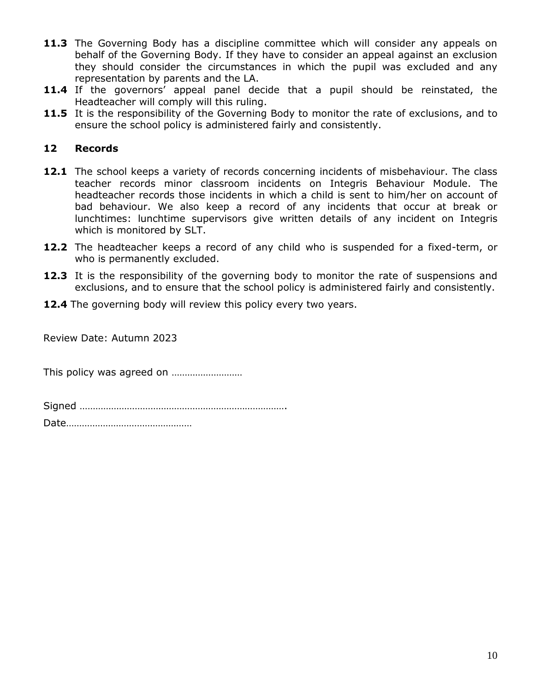- 11.3 The Governing Body has a discipline committee which will consider any appeals on behalf of the Governing Body. If they have to consider an appeal against an exclusion they should consider the circumstances in which the pupil was excluded and any representation by parents and the LA.
- **11.4** If the governors' appeal panel decide that a pupil should be reinstated, the Headteacher will comply will this ruling.
- **11.5** It is the responsibility of the Governing Body to monitor the rate of exclusions, and to ensure the school policy is administered fairly and consistently.

#### **12 Records**

- 12.1 The school keeps a variety of records concerning incidents of misbehaviour. The class teacher records minor classroom incidents on Integris Behaviour Module. The headteacher records those incidents in which a child is sent to him/her on account of bad behaviour. We also keep a record of any incidents that occur at break or lunchtimes: lunchtime supervisors give written details of any incident on Integris which is monitored by SLT.
- **12.2** The headteacher keeps a record of any child who is suspended for a fixed-term, or who is permanently excluded.
- 12.3 It is the responsibility of the governing body to monitor the rate of suspensions and exclusions, and to ensure that the school policy is administered fairly and consistently.
- **12.4** The governing body will review this policy every two years.

Review Date: Autumn 2023

This policy was agreed on ………………………

Signed …………………………………………………………………….

Date…………………………………………